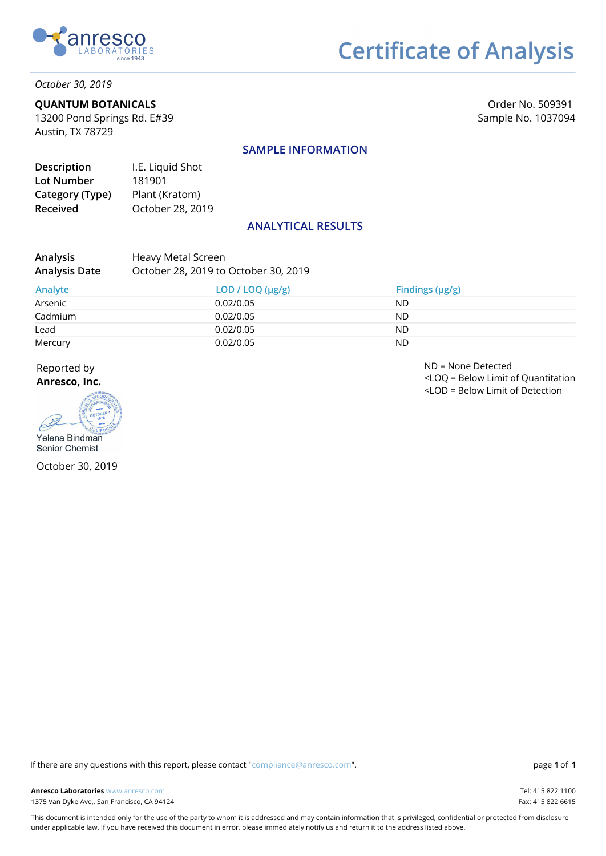

# **Certificate of Analysis**

*October 30, 2019*

### **QUANTUM BOTANICALS**

13200 Pond Springs Rd. E#39 Austin, TX 78729

Order No. 509391 Sample No. 1037094

### **SAMPLE INFORMATION**

| Description     | I.E. Liquid Shot |
|-----------------|------------------|
| Lot Number      | 181901           |
| Category (Type) | Plant (Kratom)   |
| <b>Received</b> | October 28, 2019 |

### **ANALYTICAL RESULTS**

| <b>Analysis</b>      | Heavy Metal Screen                   |
|----------------------|--------------------------------------|
| <b>Analysis Date</b> | October 28, 2019 to October 30, 2019 |

| Analyte | LOD / LOQ (µg/g) | Findings $(\mu g/g)$ |
|---------|------------------|----------------------|
| Arsenic | 0.02/0.05        | ND                   |
| Cadmium | 0.02/0.05        | <b>ND</b>            |
| Lead    | 0.02/0.05        | <b>ND</b>            |
| Mercury | 0.02/0.05        | <b>ND</b>            |

Reported by

**Anresco, Inc.**



October 30, 2019

ND = None Detected <LOQ = Below Limit of Quantitation <LOD = Below Limit of Detection

If there are any questions with this report, please contact "compliance@anresco.com".

**1 1**

This document is intended only for the use of the party to whom it is addressed and may contain information that is privileged, confidential or protected from disclosure under applicable law. If you have received this document in error, please immediately notify us and return it to the address listed above.